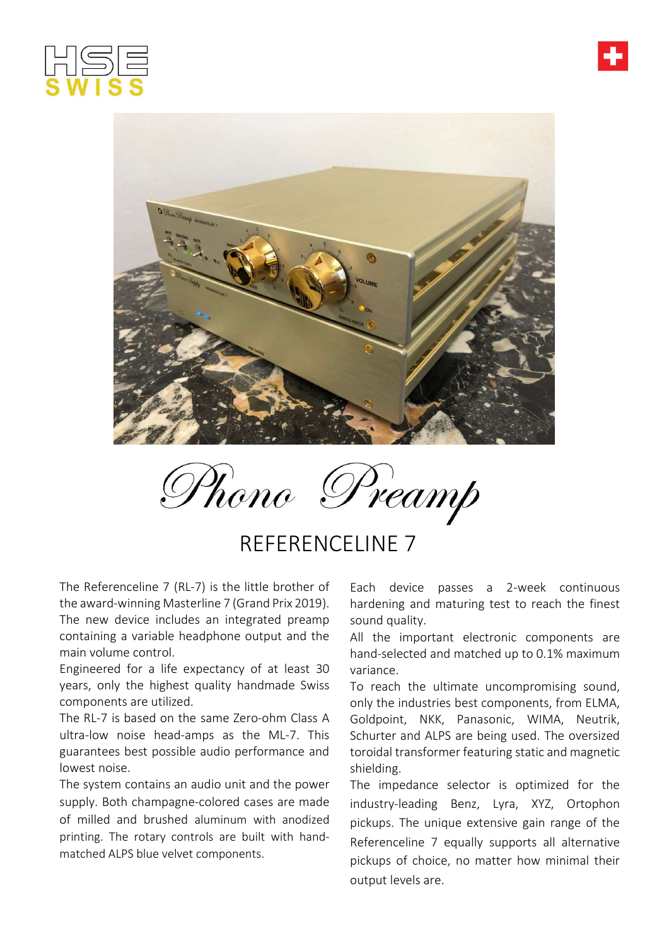



Phono Preamp

## REFERENCELINE 7

The Referenceline 7 (RL-7) is the little brother of the award-winning Masterline 7 (Grand Prix 2019). The new device includes an integrated preamp containing a variable headphone output and the main volume control.

Engineered for a life expectancy of at least 30 years, only the highest quality handmade Swiss components are utilized.

The RL-7 is based on the same Zero-ohm Class A ultra-low noise head-amps as the ML-7. This guarantees best possible audio performance and lowest noise.

The system contains an audio unit and the power supply. Both champagne-colored cases are made of milled and brushed aluminum with anodized printing. The rotary controls are built with handmatched ALPS blue velvet components.

Each device passes a 2-week continuous hardening and maturing test to reach the finest sound quality.

All the important electronic components are hand-selected and matched up to 0.1% maximum variance.

To reach the ultimate uncompromising sound, only the industries best components, from ELMA, Goldpoint, NKK, Panasonic, WIMA, Neutrik, Schurter and ALPS are being used. The oversized toroidal transformer featuring static and magnetic shielding.

The impedance selector is optimized for the industry-leading Benz, Lyra, XYZ, Ortophon pickups. The unique extensive gain range of the Referenceline 7 equally supports all alternative pickups of choice, no matter how minimal their output levels are.